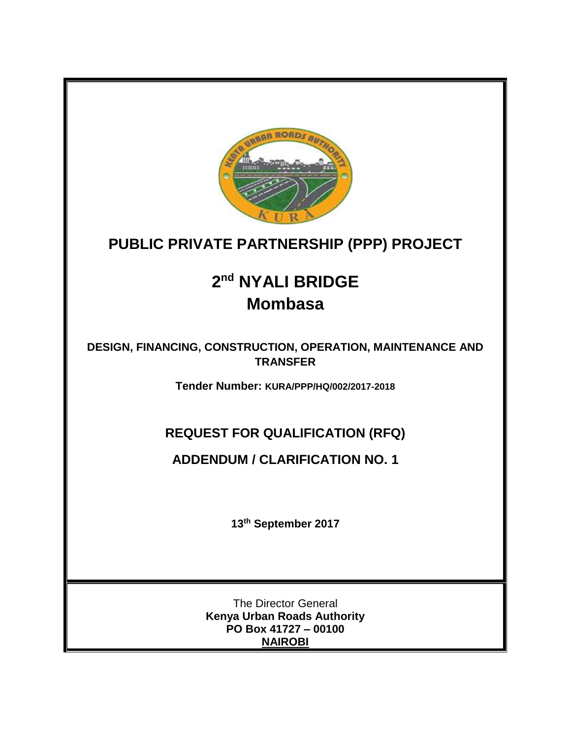

## **PUBLIC PRIVATE PARTNERSHIP (PPP) PROJECT**

# **2 nd NYALI BRIDGE Mombasa**

**DESIGN, FINANCING, CONSTRUCTION, OPERATION, MAINTENANCE AND TRANSFER**

**Tender Number: KURA/PPP/HQ/002/2017-2018**

### **REQUEST FOR QUALIFICATION (RFQ)**

#### **ADDENDUM / CLARIFICATION NO. 1**

**13 th September 2017**

The Director General **Kenya Urban Roads Authority PO Box 41727 – 00100 NAIROBI**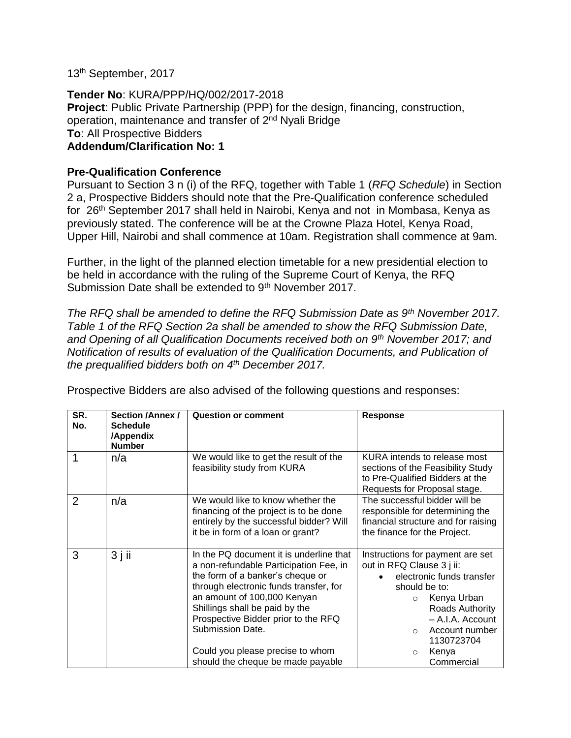13<sup>th</sup> September, 2017

**Tender No**: KURA/PPP/HQ/002/2017-2018 **Project**: Public Private Partnership (PPP) for the design, financing, construction, operation, maintenance and transfer of 2nd Nyali Bridge **To**: All Prospective Bidders **Addendum/Clarification No: 1**

#### **Pre-Qualification Conference**

Pursuant to Section 3 n (i) of the RFQ, together with Table 1 (*RFQ Schedule*) in Section 2 a, Prospective Bidders should note that the Pre-Qualification conference scheduled for 26<sup>th</sup> September 2017 shall held in Nairobi, Kenya and not in Mombasa, Kenya as previously stated. The conference will be at the Crowne Plaza Hotel, Kenya Road, Upper Hill, Nairobi and shall commence at 10am. Registration shall commence at 9am.

Further, in the light of the planned election timetable for a new presidential election to be held in accordance with the ruling of the Supreme Court of Kenya, the RFQ Submission Date shall be extended to 9<sup>th</sup> November 2017.

*The RFQ shall be amended to define the RFQ Submission Date as 9th November 2017. Table 1 of the RFQ Section 2a shall be amended to show the RFQ Submission Date, and Opening of all Qualification Documents received both on 9th November 2017; and Notification of results of evaluation of the Qualification Documents, and Publication of the prequalified bidders both on 4th December 2017.*

| SR.<br>No. | <b>Section /Annex /</b><br><b>Schedule</b><br>/Appendix<br><b>Number</b> | <b>Question or comment</b>                                                                                                                                                                                                                                                                                                                                           | <b>Response</b>                                                                                                                                                                                                                                           |
|------------|--------------------------------------------------------------------------|----------------------------------------------------------------------------------------------------------------------------------------------------------------------------------------------------------------------------------------------------------------------------------------------------------------------------------------------------------------------|-----------------------------------------------------------------------------------------------------------------------------------------------------------------------------------------------------------------------------------------------------------|
| 1          | n/a                                                                      | We would like to get the result of the<br>feasibility study from KURA                                                                                                                                                                                                                                                                                                | KURA intends to release most<br>sections of the Feasibility Study<br>to Pre-Qualified Bidders at the<br>Requests for Proposal stage.                                                                                                                      |
| 2          | n/a                                                                      | We would like to know whether the<br>financing of the project is to be done<br>entirely by the successful bidder? Will<br>it be in form of a loan or grant?                                                                                                                                                                                                          | The successful bidder will be<br>responsible for determining the<br>financial structure and for raising<br>the finance for the Project.                                                                                                                   |
| 3          | $3$ j ii                                                                 | In the PQ document it is underline that<br>a non-refundable Participation Fee, in<br>the form of a banker's cheque or<br>through electronic funds transfer, for<br>an amount of 100,000 Kenyan<br>Shillings shall be paid by the<br>Prospective Bidder prior to the RFQ<br>Submission Date.<br>Could you please precise to whom<br>should the cheque be made payable | Instructions for payment are set<br>out in RFQ Clause 3 j ii:<br>electronic funds transfer<br>should be to:<br>Kenya Urban<br>$\circ$<br>Roads Authority<br>- A.I.A. Account<br>Account number<br>$\circ$<br>1130723704<br>Kenya<br>$\circ$<br>Commercial |

Prospective Bidders are also advised of the following questions and responses: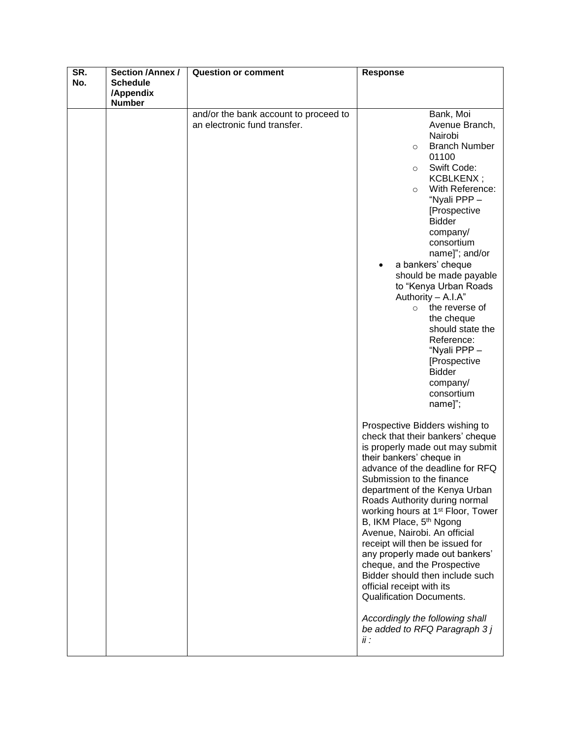| SR. | Section /Annex / | <b>Question or comment</b>                                            | <b>Response</b>                                                                                                                                                                                                                                                                                                                                                                                                                                                                                                                                                                                                                                                                        |
|-----|------------------|-----------------------------------------------------------------------|----------------------------------------------------------------------------------------------------------------------------------------------------------------------------------------------------------------------------------------------------------------------------------------------------------------------------------------------------------------------------------------------------------------------------------------------------------------------------------------------------------------------------------------------------------------------------------------------------------------------------------------------------------------------------------------|
| No. | <b>Schedule</b>  |                                                                       |                                                                                                                                                                                                                                                                                                                                                                                                                                                                                                                                                                                                                                                                                        |
|     | /Appendix        |                                                                       |                                                                                                                                                                                                                                                                                                                                                                                                                                                                                                                                                                                                                                                                                        |
|     |                  |                                                                       |                                                                                                                                                                                                                                                                                                                                                                                                                                                                                                                                                                                                                                                                                        |
|     | <b>Number</b>    | and/or the bank account to proceed to<br>an electronic fund transfer. | Bank, Moi<br>Avenue Branch,<br>Nairobi<br><b>Branch Number</b><br>$\circ$<br>01100<br>Swift Code:<br>$\circ$<br>KCBLKENX;<br>With Reference:<br>$\circ$<br>"Nyali PPP-<br>[Prospective<br><b>Bidder</b><br>company/<br>consortium<br>name]"; and/or                                                                                                                                                                                                                                                                                                                                                                                                                                    |
|     |                  |                                                                       | a bankers' cheque<br>should be made payable<br>to "Kenya Urban Roads<br>Authority - A.I.A"<br>the reverse of<br>$\circ$<br>the cheque<br>should state the<br>Reference:<br>"Nyali PPP -<br>[Prospective<br><b>Bidder</b><br>company/<br>consortium<br>name]";                                                                                                                                                                                                                                                                                                                                                                                                                          |
|     |                  |                                                                       | Prospective Bidders wishing to<br>check that their bankers' cheque<br>is properly made out may submit<br>their bankers' cheque in<br>advance of the deadline for RFQ<br>Submission to the finance<br>department of the Kenya Urban<br>Roads Authority during normal<br>working hours at 1 <sup>st</sup> Floor, Tower<br>B, IKM Place, 5 <sup>th</sup> Ngong<br>Avenue, Nairobi. An official<br>receipt will then be issued for<br>any properly made out bankers'<br>cheque, and the Prospective<br>Bidder should then include such<br>official receipt with its<br><b>Qualification Documents.</b><br>Accordingly the following shall<br>be added to RFQ Paragraph 3 j<br>$\ddot{H}$ : |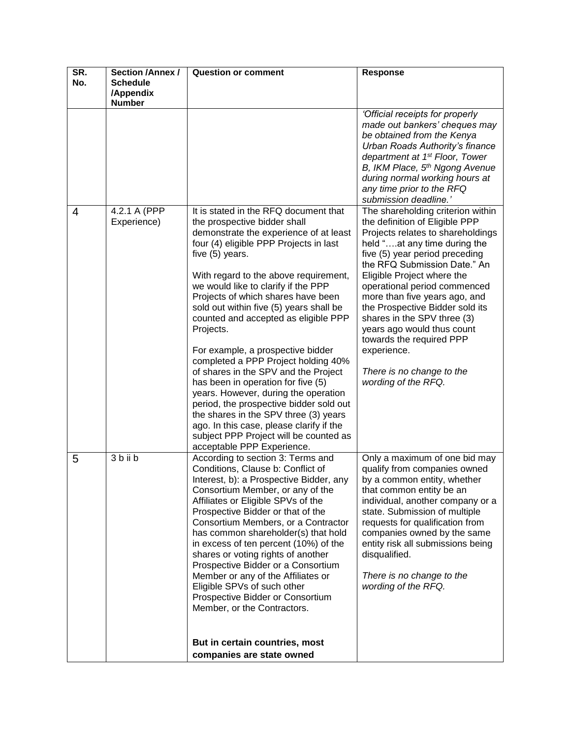| SR.<br>No. | <b>Section /Annex /</b><br><b>Schedule</b> | Question or comment                                                                                                                                                                                                                                                                                                                                                                                                                                                                                                                                                                                                                                                                                                                                                                                          | Response                                                                                                                                                                                                                                                                                                                                                                                                                                                                                                 |
|------------|--------------------------------------------|--------------------------------------------------------------------------------------------------------------------------------------------------------------------------------------------------------------------------------------------------------------------------------------------------------------------------------------------------------------------------------------------------------------------------------------------------------------------------------------------------------------------------------------------------------------------------------------------------------------------------------------------------------------------------------------------------------------------------------------------------------------------------------------------------------------|----------------------------------------------------------------------------------------------------------------------------------------------------------------------------------------------------------------------------------------------------------------------------------------------------------------------------------------------------------------------------------------------------------------------------------------------------------------------------------------------------------|
|            | /Appendix<br><b>Number</b>                 |                                                                                                                                                                                                                                                                                                                                                                                                                                                                                                                                                                                                                                                                                                                                                                                                              |                                                                                                                                                                                                                                                                                                                                                                                                                                                                                                          |
|            |                                            |                                                                                                                                                                                                                                                                                                                                                                                                                                                                                                                                                                                                                                                                                                                                                                                                              | 'Official receipts for properly<br>made out bankers' cheques may<br>be obtained from the Kenya<br>Urban Roads Authority's finance<br>department at 1 <sup>st</sup> Floor, Tower<br>B, IKM Place, 5 <sup>th</sup> Ngong Avenue<br>during normal working hours at<br>any time prior to the RFQ<br>submission deadline.'                                                                                                                                                                                    |
| 4          | 4.2.1 A (PPP<br>Experience)                | It is stated in the RFQ document that<br>the prospective bidder shall<br>demonstrate the experience of at least<br>four (4) eligible PPP Projects in last<br>five (5) years.<br>With regard to the above requirement,<br>we would like to clarify if the PPP<br>Projects of which shares have been<br>sold out within five (5) years shall be<br>counted and accepted as eligible PPP<br>Projects.<br>For example, a prospective bidder<br>completed a PPP Project holding 40%<br>of shares in the SPV and the Project<br>has been in operation for five (5)<br>years. However, during the operation<br>period, the prospective bidder sold out<br>the shares in the SPV three (3) years<br>ago. In this case, please clarify if the<br>subject PPP Project will be counted as<br>acceptable PPP Experience. | The shareholding criterion within<br>the definition of Eligible PPP<br>Projects relates to shareholdings<br>held "at any time during the<br>five (5) year period preceding<br>the RFQ Submission Date." An<br>Eligible Project where the<br>operational period commenced<br>more than five years ago, and<br>the Prospective Bidder sold its<br>shares in the SPV three (3)<br>years ago would thus count<br>towards the required PPP<br>experience.<br>There is no change to the<br>wording of the RFQ. |
| 5          | 3 b ii b                                   | According to section 3: Terms and<br>Conditions, Clause b: Conflict of<br>Interest, b): a Prospective Bidder, any<br>Consortium Member, or any of the<br>Affiliates or Eligible SPVs of the<br>Prospective Bidder or that of the<br>Consortium Members, or a Contractor<br>has common shareholder(s) that hold<br>in excess of ten percent (10%) of the<br>shares or voting rights of another<br>Prospective Bidder or a Consortium<br>Member or any of the Affiliates or<br>Eligible SPVs of such other<br>Prospective Bidder or Consortium<br>Member, or the Contractors.<br>But in certain countries, most<br>companies are state owned                                                                                                                                                                   | Only a maximum of one bid may<br>qualify from companies owned<br>by a common entity, whether<br>that common entity be an<br>individual, another company or a<br>state. Submission of multiple<br>requests for qualification from<br>companies owned by the same<br>entity risk all submissions being<br>disqualified.<br>There is no change to the<br>wording of the RFQ.                                                                                                                                |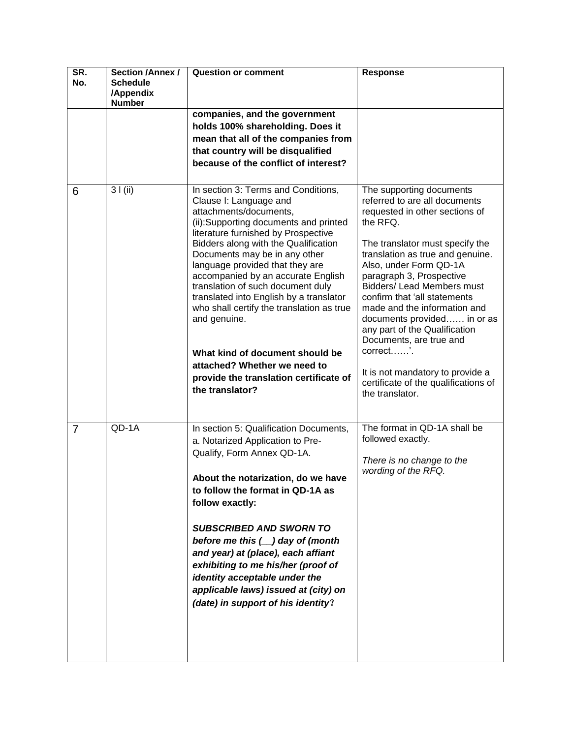| SR.<br>No.     | Section / Annex /<br><b>Schedule</b><br>/Appendix<br><b>Number</b> | <b>Question or comment</b>                                                                                                                                                                                                                                                                                                                                                                                                                                                                                                                                                                             | <b>Response</b>                                                                                                                                                                                                                                                                                                                                                                                                                                                                                                                                 |
|----------------|--------------------------------------------------------------------|--------------------------------------------------------------------------------------------------------------------------------------------------------------------------------------------------------------------------------------------------------------------------------------------------------------------------------------------------------------------------------------------------------------------------------------------------------------------------------------------------------------------------------------------------------------------------------------------------------|-------------------------------------------------------------------------------------------------------------------------------------------------------------------------------------------------------------------------------------------------------------------------------------------------------------------------------------------------------------------------------------------------------------------------------------------------------------------------------------------------------------------------------------------------|
|                |                                                                    | companies, and the government<br>holds 100% shareholding. Does it<br>mean that all of the companies from<br>that country will be disqualified<br>because of the conflict of interest?                                                                                                                                                                                                                                                                                                                                                                                                                  |                                                                                                                                                                                                                                                                                                                                                                                                                                                                                                                                                 |
| 6              | 31(ii)                                                             | In section 3: Terms and Conditions,<br>Clause I: Language and<br>attachments/documents,<br>(ii):Supporting documents and printed<br>literature furnished by Prospective<br>Bidders along with the Qualification<br>Documents may be in any other<br>language provided that they are<br>accompanied by an accurate English<br>translation of such document duly<br>translated into English by a translator<br>who shall certify the translation as true<br>and genuine.<br>What kind of document should be<br>attached? Whether we need to<br>provide the translation certificate of<br>the translator? | The supporting documents<br>referred to are all documents<br>requested in other sections of<br>the RFQ.<br>The translator must specify the<br>translation as true and genuine.<br>Also, under Form QD-1A<br>paragraph 3, Prospective<br><b>Bidders/Lead Members must</b><br>confirm that 'all statements<br>made and the information and<br>documents provided in or as<br>any part of the Qualification<br>Documents, are true and<br>correct'.<br>It is not mandatory to provide a<br>certificate of the qualifications of<br>the translator. |
| $\overline{7}$ | QD-1A                                                              | In section 5: Qualification Documents,<br>a. Notarized Application to Pre-<br>Qualify, Form Annex QD-1A.<br>About the notarization, do we have<br>to follow the format in QD-1A as<br>follow exactly:<br><b>SUBSCRIBED AND SWORN TO</b><br>before me this $(\_)$ day of (month<br>and year) at (place), each affiant<br>exhibiting to me his/her (proof of<br>identity acceptable under the<br>applicable laws) issued at (city) on<br>(date) in support of his identity?                                                                                                                              | The format in QD-1A shall be<br>followed exactly.<br>There is no change to the<br>wording of the RFQ.                                                                                                                                                                                                                                                                                                                                                                                                                                           |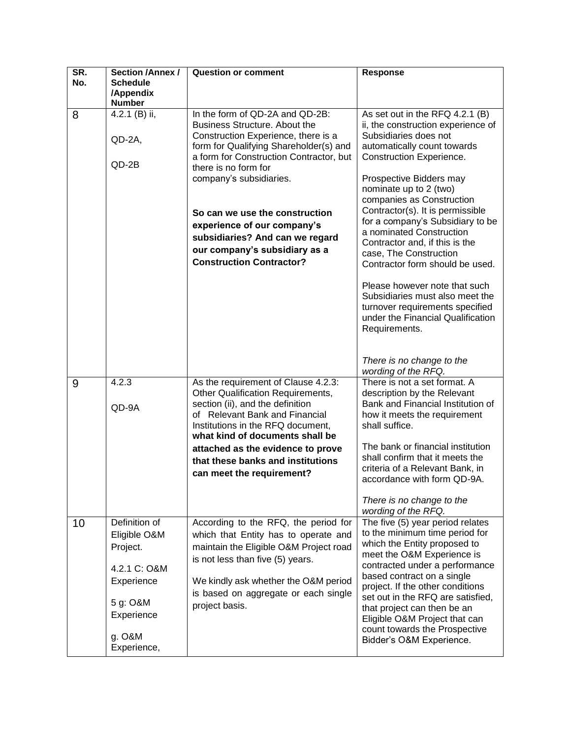| SR.<br>No. | <b>Section /Annex /</b><br><b>Schedule</b><br>/Appendix<br><b>Number</b> | <b>Question or comment</b>                                                                                                                                                                                                                             | <b>Response</b>                                                                                                                                                                                                              |
|------------|--------------------------------------------------------------------------|--------------------------------------------------------------------------------------------------------------------------------------------------------------------------------------------------------------------------------------------------------|------------------------------------------------------------------------------------------------------------------------------------------------------------------------------------------------------------------------------|
| 8          | 4.2.1 (B) ii,<br>QD-2A,<br>$QD-2B$                                       | In the form of QD-2A and QD-2B:<br><b>Business Structure. About the</b><br>Construction Experience, there is a<br>form for Qualifying Shareholder(s) and<br>a form for Construction Contractor, but<br>there is no form for<br>company's subsidiaries. | As set out in the RFQ 4.2.1 (B)<br>ii, the construction experience of<br>Subsidiaries does not<br>automatically count towards<br>Construction Experience.<br>Prospective Bidders may<br>nominate up to 2 (two)               |
|            |                                                                          | So can we use the construction<br>experience of our company's<br>subsidiaries? And can we regard<br>our company's subsidiary as a<br><b>Construction Contractor?</b>                                                                                   | companies as Construction<br>Contractor(s). It is permissible<br>for a company's Subsidiary to be<br>a nominated Construction<br>Contractor and, if this is the<br>case, The Construction<br>Contractor form should be used. |
|            |                                                                          |                                                                                                                                                                                                                                                        | Please however note that such<br>Subsidiaries must also meet the<br>turnover requirements specified<br>under the Financial Qualification<br>Requirements.                                                                    |
|            |                                                                          |                                                                                                                                                                                                                                                        | There is no change to the<br>wording of the RFQ.                                                                                                                                                                             |
| 9          | 4.2.3<br>QD-9A                                                           | As the requirement of Clause 4.2.3:<br>Other Qualification Requirements,<br>section (ii), and the definition<br>of Relevant Bank and Financial<br>Institutions in the RFQ document,<br>what kind of documents shall be                                 | There is not a set format. A<br>description by the Relevant<br>Bank and Financial Institution of<br>how it meets the requirement<br>shall suffice.                                                                           |
|            |                                                                          | attached as the evidence to prove<br>that these banks and institutions<br>can meet the requirement?                                                                                                                                                    | The bank or financial institution<br>shall confirm that it meets the<br>criteria of a Relevant Bank, in<br>accordance with form QD-9A.<br>There is no change to the                                                          |
|            |                                                                          |                                                                                                                                                                                                                                                        | wording of the RFQ.                                                                                                                                                                                                          |
| 10         | Definition of<br>Eligible O&M<br>Project.<br>4.2.1 C: O&M                | According to the RFQ, the period for<br>which that Entity has to operate and<br>maintain the Eligible O&M Project road<br>is not less than five (5) years.                                                                                             | The five (5) year period relates<br>to the minimum time period for<br>which the Entity proposed to<br>meet the O&M Experience is<br>contracted under a performance                                                           |
|            | Experience<br>5 g: O&M                                                   | We kindly ask whether the O&M period<br>is based on aggregate or each single<br>project basis.                                                                                                                                                         | based contract on a single<br>project. If the other conditions<br>set out in the RFQ are satisfied,<br>that project can then be an                                                                                           |
|            | Experience                                                               |                                                                                                                                                                                                                                                        | Eligible O&M Project that can                                                                                                                                                                                                |
|            | g. O&M<br>Experience,                                                    |                                                                                                                                                                                                                                                        | count towards the Prospective<br>Bidder's O&M Experience.                                                                                                                                                                    |